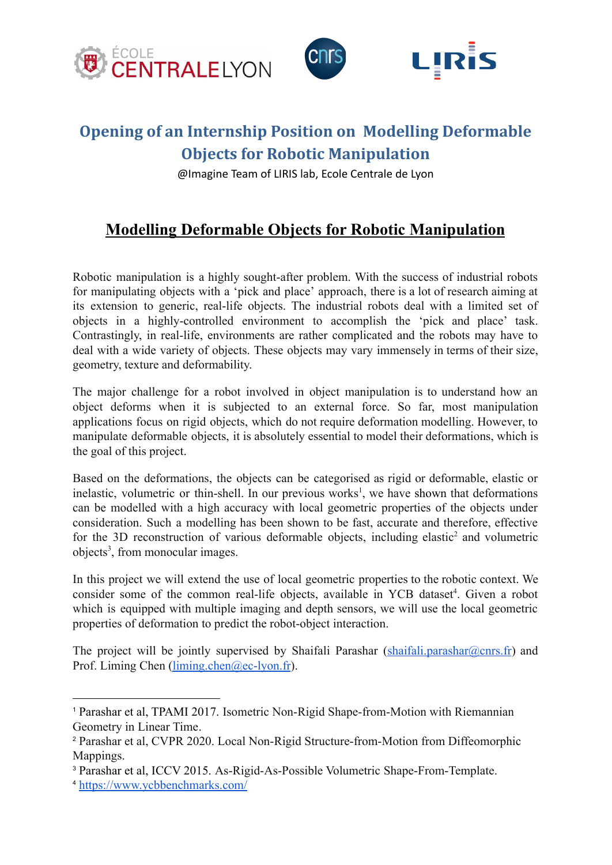

## **Opening of an Internship Position on Modelling Deformable Objects for Robotic Manipulation**

@Imagine Team of LIRIS lab, Ecole Centrale de Lyon

## **Modelling Deformable Objects for Robotic Manipulation**

Robotic manipulation is a highly sought-after problem. With the success of industrial robots for manipulating objects with a 'pick and place' approach, there is a lot of research aiming at its extension to generic, real-life objects. The industrial robots deal with a limited set of objects in a highly-controlled environment to accomplish the 'pick and place' task. Contrastingly, in real-life, environments are rather complicated and the robots may have to deal with a wide variety of objects. These objects may vary immensely in terms of their size, geometry, texture and deformability.

The major challenge for a robot involved in object manipulation is to understand how an object deforms when it is subjected to an external force. So far, most manipulation applications focus on rigid objects, which do not require deformation modelling. However, to manipulate deformable objects, it is absolutely essential to model their deformations, which is the goal of this project.

Based on the deformations, the objects can be categorised as rigid or deformable, elastic or inelastic, volumetric or thin-shell. In our previous works<sup>1</sup>, we have shown that deformations can be modelled with a high accuracy with local geometric properties of the objects under consideration. Such a modelling has been shown to be fast, accurate and therefore, effective for the 3D reconstruction of various deformable objects, including elastic<sup>2</sup> and volumetric objects<sup>3</sup>, from monocular images.

In this project we will extend the use of local geometric properties to the robotic context. We consider some of the common real-life objects, available in YCB dataset<sup>4</sup>. Given a robot which is equipped with multiple imaging and depth sensors, we will use the local geometric properties of deformation to predict the robot-object interaction.

The project will be jointly supervised by Shaifali Parashar  $(\underline{\text{shaifali}})$  parashar $(\overline{\text{c}$  parashar  $\overline{\text{c}})$  and Prof. Liming Chen [\(liming.chen@ec-lyon.fr](mailto:liming.chen@ec-lyon.fr)).

<sup>1</sup> Parashar et al, TPAMI 2017. [Isometric Non-Rigid Shape-from-Motion](http://igt.ip.uca.fr/encov/publications/pubfiles/2017_Parashar_etal_PAMI_nrsfm.pdf) with Riemannian [Geometry in Linear Time](http://igt.ip.uca.fr/encov/publications/pubfiles/2017_Parashar_etal_PAMI_nrsfm.pdf).

<sup>2</sup> Parashar et al, CVPR 2020. [Local Non-Rigid Structure-from-Motion](https://openaccess.thecvf.com/content_CVPR_2020/papers/Parashar_Local_Non-Rigid_Structure-From-Motion_From_Diffeomorphic_Mappings_CVPR_2020_paper.pdf) from Diffeomorphic [Mappings.](https://openaccess.thecvf.com/content_CVPR_2020/papers/Parashar_Local_Non-Rigid_Structure-From-Motion_From_Diffeomorphic_Mappings_CVPR_2020_paper.pdf)

<sup>3</sup> Parashar et al, ICCV 2015. [As-Rigid-As-Possible Volumetric](https://openaccess.thecvf.com/content_iccv_2015/papers/Parashar_As-Rigid-As-Possible_Volumetric_Shape-From-Template_ICCV_2015_paper.pdf) Shape-From-Template.

<sup>4</sup> <https://www.ycbbenchmarks.com/>